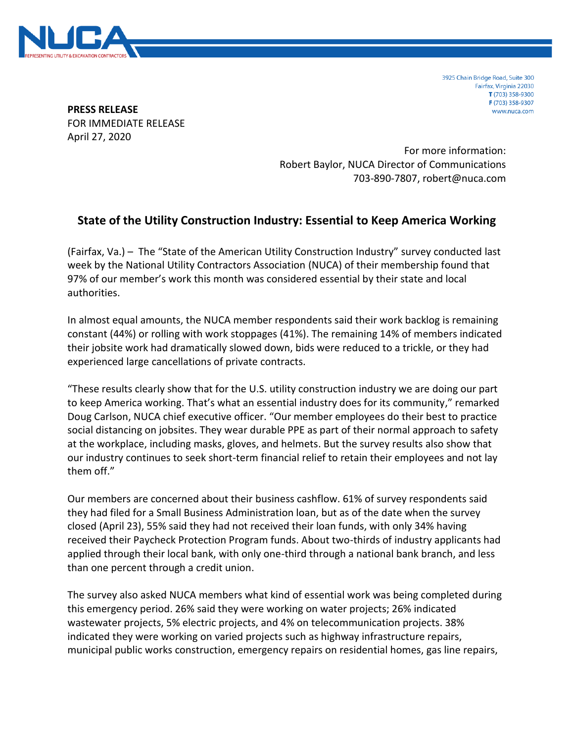

3925 Chain Bridge Road, Suite 300 Fairfax, Virginia 22030 T (703) 358-9300 F (703) 358-9307 www.nuca.com

**PRESS RELEASE** FOR IMMEDIATE RELEASE April 27, 2020

> For more information: Robert Baylor, NUCA Director of Communications 703-890-7807, robert@nuca.com

## **State of the Utility Construction Industry: Essential to Keep America Working**

(Fairfax, Va.) – The "State of the American Utility Construction Industry" survey conducted last week by the National Utility Contractors Association (NUCA) of their membership found that 97% of our member's work this month was considered essential by their state and local authorities.

In almost equal amounts, the NUCA member respondents said their work backlog is remaining constant (44%) or rolling with work stoppages (41%). The remaining 14% of members indicated their jobsite work had dramatically slowed down, bids were reduced to a trickle, or they had experienced large cancellations of private contracts.

"These results clearly show that for the U.S. utility construction industry we are doing our part to keep America working. That's what an essential industry does for its community," remarked Doug Carlson, NUCA chief executive officer. "Our member employees do their best to practice social distancing on jobsites. They wear durable PPE as part of their normal approach to safety at the workplace, including masks, gloves, and helmets. But the survey results also show that our industry continues to seek short-term financial relief to retain their employees and not lay them off."

Our members are concerned about their business cashflow. 61% of survey respondents said they had filed for a Small Business Administration loan, but as of the date when the survey closed (April 23), 55% said they had not received their loan funds, with only 34% having received their Paycheck Protection Program funds. About two-thirds of industry applicants had applied through their local bank, with only one-third through a national bank branch, and less than one percent through a credit union.

The survey also asked NUCA members what kind of essential work was being completed during this emergency period. 26% said they were working on water projects; 26% indicated wastewater projects, 5% electric projects, and 4% on telecommunication projects. 38% indicated they were working on varied projects such as highway infrastructure repairs, municipal public works construction, emergency repairs on residential homes, gas line repairs,